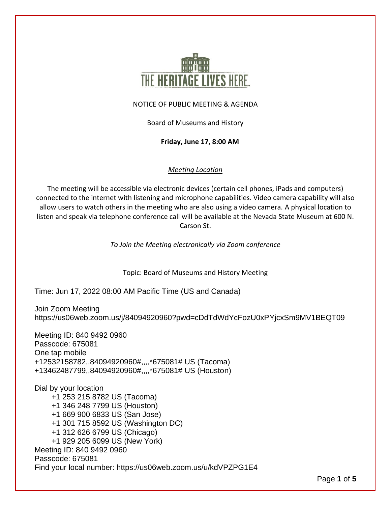

### NOTICE OF PUBLIC MEETING & AGENDA

Board of Museums and History

**Friday, June 17, 8:00 AM**

### *Meeting Location*

The meeting will be accessible via electronic devices (certain cell phones, iPads and computers) connected to the internet with listening and microphone capabilities. Video camera capability will also allow users to watch others in the meeting who are also using a video camera. A physical location to listen and speak via telephone conference call will be available at the Nevada State Museum at 600 N. Carson St.

*To Join the Meeting electronically via Zoom conference*

Topic: Board of Museums and History Meeting

Time: Jun 17, 2022 08:00 AM Pacific Time (US and Canada)

Join Zoom Meeting https://us06web.zoom.us/j/84094920960?pwd=cDdTdWdYcFozU0xPYjcxSm9MV1BEQT09

Meeting ID: 840 9492 0960 Passcode: 675081 One tap mobile +12532158782,,84094920960#,,,,\*675081# US (Tacoma) +13462487799,,84094920960#,,,,\*675081# US (Houston)

Dial by your location +1 253 215 8782 US (Tacoma) +1 346 248 7799 US (Houston) +1 669 900 6833 US (San Jose) +1 301 715 8592 US (Washington DC) +1 312 626 6799 US (Chicago) +1 929 205 6099 US (New York) Meeting ID: 840 9492 0960 Passcode: 675081 Find your local number: https://us06web.zoom.us/u/kdVPZPG1E4

Page **1** of **5**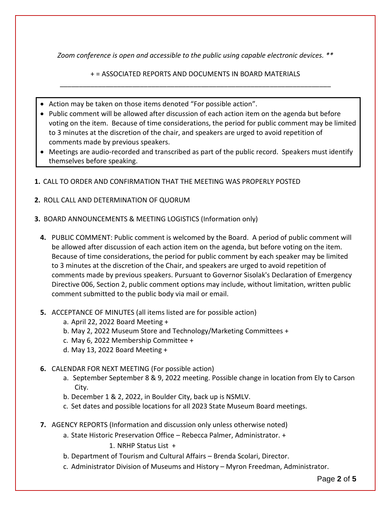*Zoom conference is open and accessible to the public using capable electronic devices. \*\**

+ = ASSOCIATED REPORTS AND DOCUMENTS IN BOARD MATERIALS \_\_\_\_\_\_\_\_\_\_\_\_\_\_\_\_\_\_\_\_\_\_\_\_\_\_\_\_\_\_\_\_\_\_\_\_\_\_\_\_\_\_\_\_\_\_\_\_\_\_\_\_\_\_\_\_\_\_\_\_\_\_\_\_\_\_\_\_\_\_\_

- Action may be taken on those items denoted "For possible action".
- Public comment will be allowed after discussion of each action item on the agenda but before voting on the item. Because of time considerations, the period for public comment may be limited to 3 minutes at the discretion of the chair, and speakers are urged to avoid repetition of comments made by previous speakers.
- Meetings are audio-recorded and transcribed as part of the public record. Speakers must identify themselves before speaking.
- **1.** CALL TO ORDER AND CONFIRMATION THAT THE MEETING WAS PROPERLY POSTED
- **2.** ROLL CALL AND DETERMINATION OF QUORUM
- **3.** BOARD ANNOUNCEMENTS & MEETING LOGISTICS (Information only)
	- **4.** PUBLIC COMMENT: Public comment is welcomed by the Board. A period of public comment will be allowed after discussion of each action item on the agenda, but before voting on the item. Because of time considerations, the period for public comment by each speaker may be limited to 3 minutes at the discretion of the Chair, and speakers are urged to avoid repetition of comments made by previous speakers. Pursuant to Governor Sisolak's Declaration of Emergency Directive 006, Section 2, public comment options may include, without limitation, written public comment submitted to the public body via mail or email.
	- **5.** ACCEPTANCE OF MINUTES (all items listed are for possible action)
		- a. April 22, 2022 Board Meeting +
		- b. May 2, 2022 Museum Store and Technology/Marketing Committees +
		- c. May 6, 2022 Membership Committee +
		- d. May 13, 2022 Board Meeting +
	- **6.** CALENDAR FOR NEXT MEETING (For possible action)
		- a. September September 8 & 9, 2022 meeting. Possible change in location from Ely to Carson City.
		- b. December 1 & 2, 2022, in Boulder City, back up is NSMLV.
		- c. Set dates and possible locations for all 2023 State Museum Board meetings.
	- **7.** AGENCY REPORTS (Information and discussion only unless otherwise noted)
		- a. State Historic Preservation Office Rebecca Palmer, Administrator. +
			- 1. NRHP Status List +
		- b. Department of Tourism and Cultural Affairs Brenda Scolari, Director.
		- c. Administrator Division of Museums and History Myron Freedman, Administrator.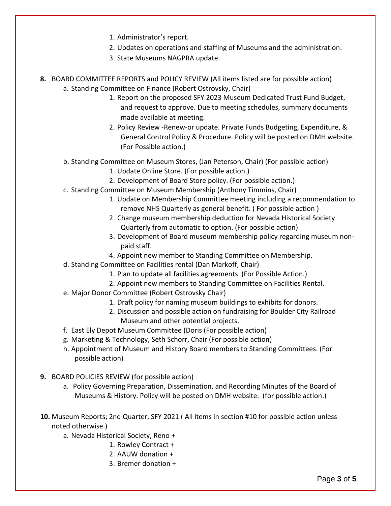- 1. Administrator's report.
- 2. Updates on operations and staffing of Museums and the administration.
- 3. State Museums NAGPRA update.
- **8.** BOARD COMMITTEE REPORTS and POLICY REVIEW (All items listed are for possible action) a. Standing Committee on Finance (Robert Ostrovsky, Chair)
	- 1. Report on the proposed SFY 2023 Museum Dedicated Trust Fund Budget, and request to approve. Due to meeting schedules, summary documents made available at meeting.
	- 2. Policy Review -Renew-or update. Private Funds Budgeting, Expenditure, & General Control Policy & Procedure. Policy will be posted on DMH website. (For Possible action.)
	- b. Standing Committee on Museum Stores, (Jan Peterson, Chair) (For possible action)
		- 1. Update Online Store. (For possible action.)
		- 2. Development of Board Store policy. (For possible action.)
	- c. Standing Committee on Museum Membership (Anthony Timmins, Chair)
		- 1. Update on Membership Committee meeting including a recommendation to remove NHS Quarterly as general benefit. ( For possible action )
		- 2. Change museum membership deduction for Nevada Historical Society Quarterly from automatic to option. (For possible action)
		- 3. Development of Board museum membership policy regarding museum nonpaid staff.
		- 4. Appoint new member to Standing Committee on Membership.
	- d. Standing Committee on Facilities rental (Dan Markoff, Chair)
		- 1. Plan to update all facilities agreements (For Possible Action.)
		- 2. Appoint new members to Standing Committee on Facilities Rental.
	- e. Major Donor Committee (Robert Ostrovsky Chair)
		- 1. Draft policy for naming museum buildings to exhibits for donors.
		- 2. Discussion and possible action on fundraising for Boulder City Railroad Museum and other potential projects.
	- f. East Ely Depot Museum Committee (Doris (For possible action)
	- g. Marketing & Technology, Seth Schorr, Chair (For possible action)
	- h. Appointment of Museum and History Board members to Standing Committees. (For possible action)
- **9.** BOARD POLICIES REVIEW (for possible action)
	- a. Policy Governing Preparation, Dissemination, and Recording Minutes of the Board of Museums & History. Policy will be posted on DMH website. (for possible action.)
- **10.** Museum Reports; 2nd Quarter, SFY 2021 ( All items in section #10 for possible action unless noted otherwise.)
	- a. Nevada Historical Society, Reno +
		- 1. Rowley Contract +
		- 2. AAUW donation +
		- 3. Bremer donation +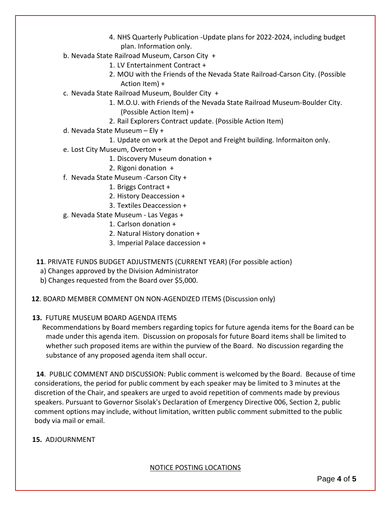- 4. NHS Quarterly Publication -Update plans for 2022-2024, including budget plan. Information only.
- b. Nevada State Railroad Museum, Carson City +
	- 1. LV Entertainment Contract +
	- 2. MOU with the Friends of the Nevada State Railroad-Carson City. (Possible Action Item) +
- c. Nevada State Railroad Museum, Boulder City +
	- 1. M.O.U. with Friends of the Nevada State Railroad Museum-Boulder City. (Possible Action Item) +
		- 2. Rail Explorers Contract update. (Possible Action Item)
- d. Nevada State Museum Ely +
	- 1. Update on work at the Depot and Freight building. Informaiton only.
- e. Lost City Museum, Overton +
	- 1. Discovery Museum donation +
	- 2. Rigoni donation +
- f. Nevada State Museum -Carson City +
	- 1. Briggs Contract +
	- 2. History Deaccession +
	- 3. Textiles Deaccession +
- g. Nevada State Museum Las Vegas +
	- 1. Carlson donation +
	- 2. Natural History donation +
	- 3. Imperial Palace daccession +
- **11**. PRIVATE FUNDS BUDGET ADJUSTMENTS (CURRENT YEAR) (For possible action)
	- a) Changes approved by the Division Administrator
	- b) Changes requested from the Board over \$5,000.
- **12**. BOARD MEMBER COMMENT ON NON-AGENDIZED ITEMS (Discussion only)
- **13.** FUTURE MUSEUM BOARD AGENDA ITEMS

 Recommendations by Board members regarding topics for future agenda items for the Board can be made under this agenda item. Discussion on proposals for future Board items shall be limited to whether such proposed items are within the purview of the Board. No discussion regarding the substance of any proposed agenda item shall occur.

**14**. PUBLIC COMMENT AND DISCUSSION: Public comment is welcomed by the Board. Because of time considerations, the period for public comment by each speaker may be limited to 3 minutes at the discretion of the Chair, and speakers are urged to avoid repetition of comments made by previous speakers. Pursuant to Governor Sisolak's Declaration of Emergency Directive 006, Section 2, public comment options may include, without limitation, written public comment submitted to the public body via mail or email.

## **15.** ADJOURNMENT